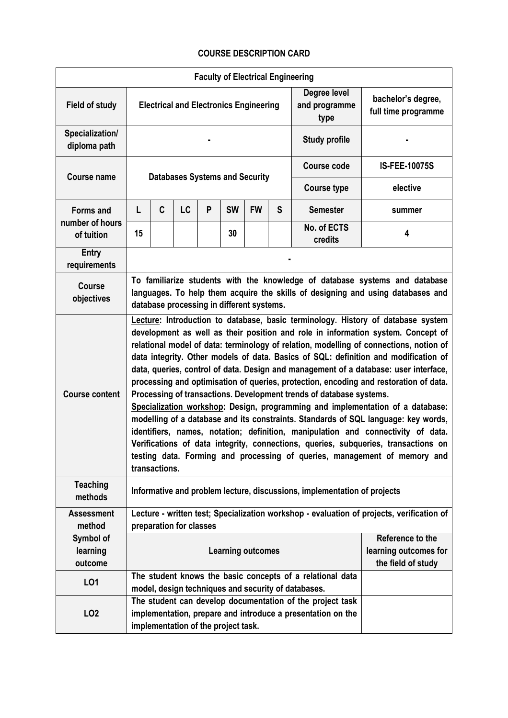## **COURSE DESCRIPTION CARD**

| <b>Faculty of Electrical Engineering</b> |                                                                                                                                                                                                                                                                                                                                                                                                                                                                                                                                                                                                                                                                                                                                                                                                                                                                                                                                                                                                                                                               |   |    |                                     |           |                      |                                       |                                                                                                                          |                       |  |
|------------------------------------------|---------------------------------------------------------------------------------------------------------------------------------------------------------------------------------------------------------------------------------------------------------------------------------------------------------------------------------------------------------------------------------------------------------------------------------------------------------------------------------------------------------------------------------------------------------------------------------------------------------------------------------------------------------------------------------------------------------------------------------------------------------------------------------------------------------------------------------------------------------------------------------------------------------------------------------------------------------------------------------------------------------------------------------------------------------------|---|----|-------------------------------------|-----------|----------------------|---------------------------------------|--------------------------------------------------------------------------------------------------------------------------|-----------------------|--|
| <b>Field of study</b>                    | <b>Electrical and Electronics Engineering</b>                                                                                                                                                                                                                                                                                                                                                                                                                                                                                                                                                                                                                                                                                                                                                                                                                                                                                                                                                                                                                 |   |    |                                     |           |                      | Degree level<br>and programme<br>type | bachelor's degree,<br>full time programme                                                                                |                       |  |
| Specialization/<br>diploma path          |                                                                                                                                                                                                                                                                                                                                                                                                                                                                                                                                                                                                                                                                                                                                                                                                                                                                                                                                                                                                                                                               |   |    |                                     |           | <b>Study profile</b> |                                       |                                                                                                                          |                       |  |
| <b>Course name</b>                       | <b>Databases Systems and Security</b>                                                                                                                                                                                                                                                                                                                                                                                                                                                                                                                                                                                                                                                                                                                                                                                                                                                                                                                                                                                                                         |   |    |                                     |           |                      |                                       | <b>Course code</b>                                                                                                       | <b>IS-FEE-10075S</b>  |  |
|                                          |                                                                                                                                                                                                                                                                                                                                                                                                                                                                                                                                                                                                                                                                                                                                                                                                                                                                                                                                                                                                                                                               |   |    |                                     |           |                      |                                       | <b>Course type</b>                                                                                                       | elective              |  |
| <b>Forms and</b><br>number of hours      | L                                                                                                                                                                                                                                                                                                                                                                                                                                                                                                                                                                                                                                                                                                                                                                                                                                                                                                                                                                                                                                                             | C | LC | P                                   | <b>SW</b> | <b>FW</b>            | S                                     | <b>Semester</b>                                                                                                          | summer                |  |
| of tuition                               | 15                                                                                                                                                                                                                                                                                                                                                                                                                                                                                                                                                                                                                                                                                                                                                                                                                                                                                                                                                                                                                                                            |   |    |                                     | 30        |                      |                                       | No. of ECTS<br>credits                                                                                                   | 4                     |  |
| <b>Entry</b><br>requirements             |                                                                                                                                                                                                                                                                                                                                                                                                                                                                                                                                                                                                                                                                                                                                                                                                                                                                                                                                                                                                                                                               |   |    |                                     |           |                      |                                       |                                                                                                                          |                       |  |
| <b>Course</b><br>objectives              | To familiarize students with the knowledge of database systems and database<br>languages. To help them acquire the skills of designing and using databases and<br>database processing in different systems.                                                                                                                                                                                                                                                                                                                                                                                                                                                                                                                                                                                                                                                                                                                                                                                                                                                   |   |    |                                     |           |                      |                                       |                                                                                                                          |                       |  |
| <b>Course content</b>                    | Lecture: Introduction to database, basic terminology. History of database system<br>development as well as their position and role in information system. Concept of<br>relational model of data: terminology of relation, modelling of connections, notion of<br>data integrity. Other models of data. Basics of SQL: definition and modification of<br>data, queries, control of data. Design and management of a database: user interface,<br>processing and optimisation of queries, protection, encoding and restoration of data.<br>Processing of transactions. Development trends of database systems.<br>Specialization workshop: Design, programming and implementation of a database:<br>modelling of a database and its constraints. Standards of SQL language: key words,<br>identifiers, names, notation; definition, manipulation and connectivity of data.<br>Verifications of data integrity, connections, queries, subqueries, transactions on<br>testing data. Forming and processing of queries, management of memory and<br>transactions. |   |    |                                     |           |                      |                                       |                                                                                                                          |                       |  |
| <b>Teaching</b><br>methods               | Informative and problem lecture, discussions, implementation of projects                                                                                                                                                                                                                                                                                                                                                                                                                                                                                                                                                                                                                                                                                                                                                                                                                                                                                                                                                                                      |   |    |                                     |           |                      |                                       |                                                                                                                          |                       |  |
| <b>Assessment</b>                        | Lecture - written test; Specialization workshop - evaluation of projects, verification of                                                                                                                                                                                                                                                                                                                                                                                                                                                                                                                                                                                                                                                                                                                                                                                                                                                                                                                                                                     |   |    |                                     |           |                      |                                       |                                                                                                                          |                       |  |
| method                                   | preparation for classes<br>Reference to the                                                                                                                                                                                                                                                                                                                                                                                                                                                                                                                                                                                                                                                                                                                                                                                                                                                                                                                                                                                                                   |   |    |                                     |           |                      |                                       |                                                                                                                          |                       |  |
| Symbol of<br>learning                    |                                                                                                                                                                                                                                                                                                                                                                                                                                                                                                                                                                                                                                                                                                                                                                                                                                                                                                                                                                                                                                                               |   |    | <b>Learning outcomes</b>            |           |                      |                                       |                                                                                                                          | learning outcomes for |  |
| outcome                                  |                                                                                                                                                                                                                                                                                                                                                                                                                                                                                                                                                                                                                                                                                                                                                                                                                                                                                                                                                                                                                                                               |   |    |                                     |           |                      |                                       |                                                                                                                          | the field of study    |  |
| LO1                                      |                                                                                                                                                                                                                                                                                                                                                                                                                                                                                                                                                                                                                                                                                                                                                                                                                                                                                                                                                                                                                                                               |   |    |                                     |           |                      |                                       | The student knows the basic concepts of a relational data<br>model, design techniques and security of databases.         |                       |  |
| LO <sub>2</sub>                          |                                                                                                                                                                                                                                                                                                                                                                                                                                                                                                                                                                                                                                                                                                                                                                                                                                                                                                                                                                                                                                                               |   |    | implementation of the project task. |           |                      |                                       | The student can develop documentation of the project task<br>implementation, prepare and introduce a presentation on the |                       |  |